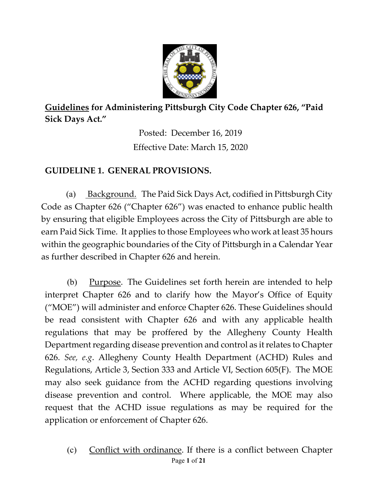

**Guidelines for Administering Pittsburgh City Code Chapter 626, "Paid Sick Days Act."**

> Posted: December 16, 2019 Effective Date: March 15, 2020

## **GUIDELINE 1. GENERAL PROVISIONS.**

(a) Background. The Paid Sick Days Act, codified in Pittsburgh City Code as Chapter 626 ("Chapter 626") was enacted to enhance public health by ensuring that eligible Employees across the City of Pittsburgh are able to earn Paid Sick Time. It applies to those Employees who work at least 35 hours within the geographic boundaries of the City of Pittsburgh in a Calendar Year as further described in Chapter 626 and herein.

(b) Purpose. The Guidelines set forth herein are intended to help interpret Chapter 626 and to clarify how the Mayor's Office of Equity ("MOE") will administer and enforce Chapter 626. These Guidelines should be read consistent with Chapter 626 and with any applicable health regulations that may be proffered by the Allegheny County Health Department regarding disease prevention and control as it relates to Chapter 626. *See, e.g*. Allegheny County Health Department (ACHD) Rules and Regulations, Article 3, Section 333 and Article VI, Section 605(F). The MOE may also seek guidance from the ACHD regarding questions involving disease prevention and control. Where applicable, the MOE may also request that the ACHD issue regulations as may be required for the application or enforcement of Chapter 626.

Page **1** of **21** (c) Conflict with ordinance. If there is a conflict between Chapter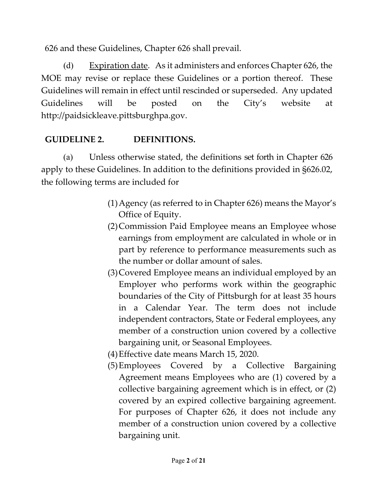626 and these Guidelines, Chapter 626 shall prevail.

(d) Expiration date. As it administers and enforces Chapter 626, the MOE may revise or replace these Guidelines or a portion thereof. These Guidelines will remain in effect until rescinded or superseded. Any updated Guidelines will be posted on the City's website at http://paidsickleave.pittsburghpa.gov.

# **GUIDELINE 2. DEFINITIONS.**

(a) Unless otherwise stated, the definitions set forth in Chapter 626 apply to these Guidelines. In addition to the definitions provided in §626.02, the following terms are included for

- (1)Agency (as referred to in Chapter 626) means the Mayor's Office of Equity.
- (2)Commission Paid Employee means an Employee whose earnings from employment are calculated in whole or in part by reference to performance measurements such as the number or dollar amount of sales.
- (3)Covered Employee means an individual employed by an Employer who performs work within the geographic boundaries of the City of Pittsburgh for at least 35 hours in a Calendar Year. The term does not include independent contractors, State or Federal employees, any member of a construction union covered by a collective bargaining unit, or Seasonal Employees.
- (4)Effective date means March 15, 2020.
- (5)Employees Covered by a Collective Bargaining Agreement means Employees who are (1) covered by a collective bargaining agreement which is in effect, or (2) covered by an expired collective bargaining agreement. For purposes of Chapter 626, it does not include any member of a construction union covered by a collective bargaining unit.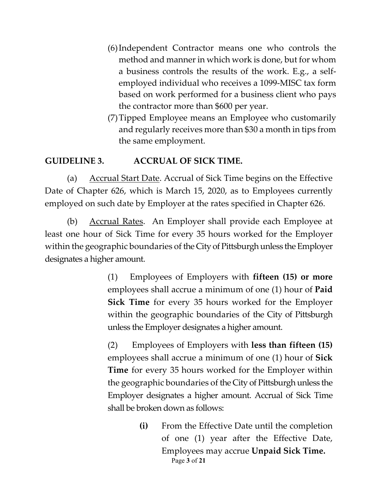- (6)Independent Contractor means one who controls the method and manner in which work is done, but for whom a business controls the results of the work. E.g., a selfemployed individual who receives a 1099-MISC tax form based on work performed for a business client who pays the contractor more than \$600 per year.
- (7)Tipped Employee means an Employee who customarily and regularly receives more than \$30 a month in tips from the same employment.

## **GUIDELINE 3. ACCRUAL OF SICK TIME.**

(a) Accrual Start Date. Accrual of Sick Time begins on the Effective Date of Chapter 626, which is March 15, 2020, as to Employees currently employed on such date by Employer at the rates specified in Chapter 626.

(b) Accrual Rates. An Employer shall provide each Employee at least one hour of Sick Time for every 35 hours worked for the Employer within the geographic boundaries of the City of Pittsburgh unless the Employer designates a higher amount.

> (1) Employees of Employers with **fifteen (15) or more**  employees shall accrue a minimum of one (1) hour of **Paid Sick Time** for every 35 hours worked for the Employer within the geographic boundaries of the City of Pittsburgh unless the Employer designates a higher amount.

> (2) Employees of Employers with **less than fifteen (15)** employees shall accrue a minimum of one (1) hour of **Sick Time** for every 35 hours worked for the Employer within the geographic boundaries of the City of Pittsburgh unless the Employer designates a higher amount. Accrual of Sick Time shall be broken down as follows:

> > Page **3** of **21 (i)** From the Effective Date until the completion of one (1) year after the Effective Date, Employees may accrue **Unpaid Sick Time.**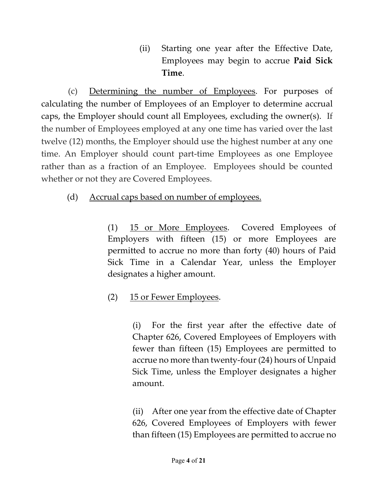(ii) Starting one year after the Effective Date, Employees may begin to accrue **Paid Sick Time**.

(c) Determining the number of Employees. For purposes of calculating the number of Employees of an Employer to determine accrual caps, the Employer should count all Employees, excluding the owner(s). If the number of Employees employed at any one time has varied over the last twelve (12) months, the Employer should use the highest number at any one time. An Employer should count part-time Employees as one Employee rather than as a fraction of an Employee. Employees should be counted whether or not they are Covered Employees.

## (d) Accrual caps based on number of employees.

(1) 15 or More Employees. Covered Employees of Employers with fifteen (15) or more Employees are permitted to accrue no more than forty (40) hours of Paid Sick Time in a Calendar Year, unless the Employer designates a higher amount.

# (2) 15 or Fewer Employees.

(i) For the first year after the effective date of Chapter 626, Covered Employees of Employers with fewer than fifteen (15) Employees are permitted to accrue no more than twenty-four (24) hours of Unpaid Sick Time, unless the Employer designates a higher amount.

(ii) After one year from the effective date of Chapter 626, Covered Employees of Employers with fewer than fifteen (15) Employees are permitted to accrue no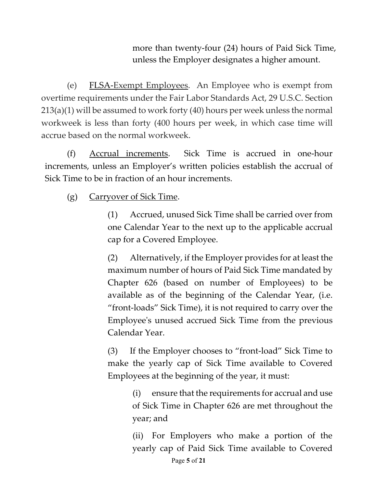more than twenty-four (24) hours of Paid Sick Time, unless the Employer designates a higher amount.

(e) FLSA-Exempt Employees. An Employee who is exempt from overtime requirements under the Fair Labor Standards Act, 29 U.S.C. Section 213(a)(1) will be assumed to work forty (40) hours per week unless the normal workweek is less than forty (400 hours per week, in which case time will accrue based on the normal workweek.

(f) Accrual increments. Sick Time is accrued in one-hour increments, unless an Employer's written policies establish the accrual of Sick Time to be in fraction of an hour increments.

### (g) Carryover of Sick Time.

(1) Accrued, unused Sick Time shall be carried over from one Calendar Year to the next up to the applicable accrual cap for a Covered Employee.

(2) Alternatively, if the Employer provides for at least the maximum number of hours of Paid Sick Time mandated by Chapter 626 (based on number of Employees) to be available as of the beginning of the Calendar Year, (i.e. "front-loads" Sick Time), it is not required to carry over the Employee's unused accrued Sick Time from the previous Calendar Year.

(3) If the Employer chooses to "front-load" Sick Time to make the yearly cap of Sick Time available to Covered Employees at the beginning of the year, it must:

> (i) ensure that the requirements for accrual and use of Sick Time in Chapter 626 are met throughout the year; and

> (ii) For Employers who make a portion of the yearly cap of Paid Sick Time available to Covered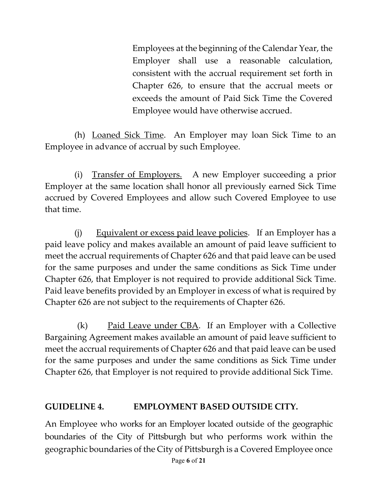Employees at the beginning of the Calendar Year, the Employer shall use a reasonable calculation, consistent with the accrual requirement set forth in Chapter 626, to ensure that the accrual meets or exceeds the amount of Paid Sick Time the Covered Employee would have otherwise accrued.

(h) Loaned Sick Time. An Employer may loan Sick Time to an Employee in advance of accrual by such Employee.

(i) Transfer of Employers. A new Employer succeeding a prior Employer at the same location shall honor all previously earned Sick Time accrued by Covered Employees and allow such Covered Employee to use that time.

(j) Equivalent or excess paid leave policies. If an Employer has a paid leave policy and makes available an amount of paid leave sufficient to meet the accrual requirements of Chapter 626 and that paid leave can be used for the same purposes and under the same conditions as Sick Time under Chapter 626, that Employer is not required to provide additional Sick Time. Paid leave benefits provided by an Employer in excess of what is required by Chapter 626 are not subject to the requirements of Chapter 626.

 $(k)$  Paid Leave under CBA. If an Employer with a Collective Bargaining Agreement makes available an amount of paid leave sufficient to meet the accrual requirements of Chapter 626 and that paid leave can be used for the same purposes and under the same conditions as Sick Time under Chapter 626, that Employer is not required to provide additional Sick Time.

### **GUIDELINE 4. EMPLOYMENT BASED OUTSIDE CITY.**

An Employee who works for an Employer located outside of the geographic boundaries of the City of Pittsburgh but who performs work within the geographic boundaries of the City of Pittsburgh is a Covered Employee once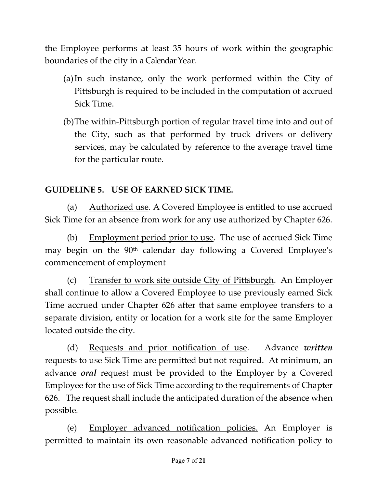the Employee performs at least 35 hours of work within the geographic boundaries of the city in a Calendar Year.

- (a)In such instance, only the work performed within the City of Pittsburgh is required to be included in the computation of accrued Sick Time.
- (b)The within-Pittsburgh portion of regular travel time into and out of the City, such as that performed by truck drivers or delivery services, may be calculated by reference to the average travel time for the particular route.

## **GUIDELINE 5. USE OF EARNED SICK TIME.**

(a) Authorized use. A Covered Employee is entitled to use accrued Sick Time for an absence from work for any use authorized by Chapter 626.

(b) Employment period prior to use. The use of accrued Sick Time may begin on the 90<sup>th</sup> calendar day following a Covered Employee's commencement of employment

(c) Transfer to work site outside City of Pittsburgh. An Employer shall continue to allow a Covered Employee to use previously earned Sick Time accrued under Chapter 626 after that same employee transfers to a separate division, entity or location for a work site for the same Employer located outside the city.

(d) Requests and prior notification of use. Advance *written*  requests to use Sick Time are permitted but not required. At minimum, an advance *oral* request must be provided to the Employer by a Covered Employee for the use of Sick Time according to the requirements of Chapter 626. The request shall include the anticipated duration of the absence when possible.

(e) Employer advanced notification policies. An Employer is permitted to maintain its own reasonable advanced notification policy to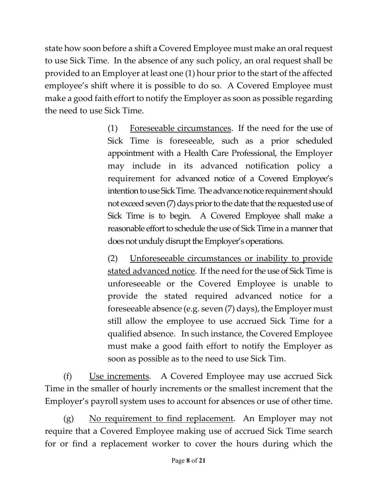state how soon before a shift a Covered Employee must make an oral request to use Sick Time. In the absence of any such policy, an oral request shall be provided to an Employer at least one (1) hour prior to the start of the affected employee's shift where it is possible to do so. A Covered Employee must make a good faith effort to notify the Employer as soon as possible regarding the need to use Sick Time.

> (1) Foreseeable circumstances. If the need for the use of Sick Time is foreseeable, such as a prior scheduled appointment with a Health Care Professional, the Employer may include in its advanced notification policy a requirement for advanced notice of a Covered Employee's intention to use Sick Time. The advance notice requirement should not exceed seven (7) days prior to the date that the requested use of Sick Time is to begin. A Covered Employee shall make a reasonable effort to schedule the use of Sick Time in a manner that does not unduly disrupt the Employer's operations.

> (2) Unforeseeable circumstances or inability to provide stated advanced notice. If the need for the use of Sick Time is unforeseeable or the Covered Employee is unable to provide the stated required advanced notice for a fore seeable absence (e.g. seven  $(7)$  days), the Employer must still allow the employee to use accrued Sick Time for a qualified absence. In such instance, the Covered Employee must make a good faith effort to notify the Employer as soon as possible as to the need to use Sick Tim.

(f) Use increments. A Covered Employee may use accrued Sick Time in the smaller of hourly increments or the smallest increment that the Employer's payroll system uses to account for absences or use of other time.

 $(g)$  No requirement to find replacement. An Employer may not require that a Covered Employee making use of accrued Sick Time search for or find a replacement worker to cover the hours during which the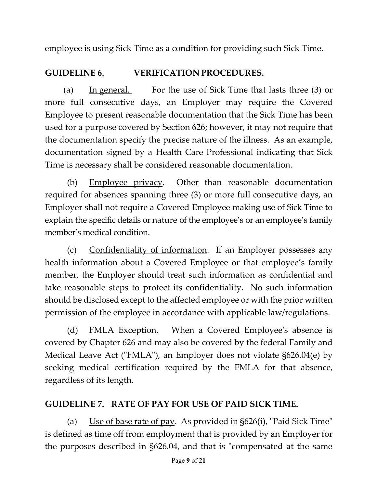employee is using Sick Time as a condition for providing such Sick Time.

# **GUIDELINE 6. VERIFICATION PROCEDURES.**

(a) In general. For the use of Sick Time that lasts three (3) or more full consecutive days, an Employer may require the Covered Employee to present reasonable documentation that the Sick Time has been used for a purpose covered by Section 626; however, it may not require that the documentation specify the precise nature of the illness. As an example, documentation signed by a Health Care Professional indicating that Sick Time is necessary shall be considered reasonable documentation.

(b) Employee privacy. Other than reasonable documentation required for absences spanning three (3) or more full consecutive days, an Employer shall not require a Covered Employee making use of Sick Time to explain the specific details or nature of the employee's or an employee's family member's medical condition.

(c) Confidentiality of information. If an Employer possesses any health information about a Covered Employee or that employee's family member, the Employer should treat such information as confidential and take reasonable steps to protect its confidentiality. No such information should be disclosed except to the affected employee or with the prior written permission of the employee in accordance with applicable law/regulations.

(d) FMLA Exception. When a Covered Employee's absence is covered by Chapter 626 and may also be covered by the federal Family and Medical Leave Act ("FMLA"), an Employer does not violate §626.04(e) by seeking medical certification required by the FMLA for that absence, regardless of its length.

## **GUIDELINE 7. RATE OF PAY FOR USE OF PAID SICK TIME.**

(a) Use of base rate of pay. As provided in  $\S626(i)$ , "Paid Sick Time" is defined as time off from employment that is provided by an Employer for the purposes described in §626.04, and that is "compensated at the same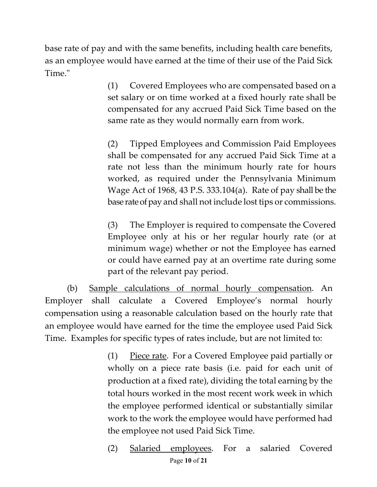base rate of pay and with the same benefits, including health care benefits, as an employee would have earned at the time of their use of the Paid Sick Time."

> (1) Covered Employees who are compensated based on a set salary or on time worked at a fixed hourly rate shall be compensated for any accrued Paid Sick Time based on the same rate as they would normally earn from work.

> (2) Tipped Employees and Commission Paid Employees shall be compensated for any accrued Paid Sick Time at a rate not less than the minimum hourly rate for hours worked, as required under the Pennsylvania Minimum Wage Act of 1968, 43 P.S. 333.104(a). Rate of pay shall be the base rate of pay and shall not include lost tips or commissions.

> (3) The Employer is required to compensate the Covered Employee only at his or her regular hourly rate (or at minimum wage) whether or not the Employee has earned or could have earned pay at an overtime rate during some part of the relevant pay period.

(b) Sample calculations of normal hourly compensation. An Employer shall calculate a Covered Employee's normal hourly compensation using a reasonable calculation based on the hourly rate that an employee would have earned for the time the employee used Paid Sick Time. Examples for specific types of rates include, but are not limited to:

> (1) Piece rate. For a Covered Employee paid partially or wholly on a piece rate basis (i.e. paid for each unit of production at a fixed rate), dividing the total earning by the total hours worked in the most recent work week in which the employee performed identical or substantially similar work to the work the employee would have performed had the employee not used Paid Sick Time.

> Page **10** of **21** (2) Salaried employees. For a salaried Covered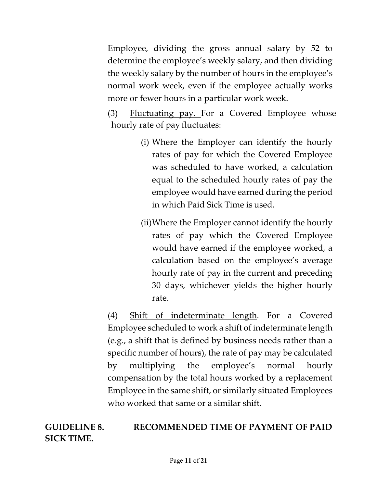Employee, dividing the gross annual salary by 52 to determine the employee's weekly salary, and then dividing the weekly salary by the number of hours in the employee's normal work week, even if the employee actually works more or fewer hours in a particular work week.

(3) Fluctuating pay. For a Covered Employee whose hourly rate of pay fluctuates:

- (i) Where the Employer can identify the hourly rates of pay for which the Covered Employee was scheduled to have worked, a calculation equal to the scheduled hourly rates of pay the employee would have earned during the period in which Paid Sick Time is used.
- (ii)Where the Employer cannot identify the hourly rates of pay which the Covered Employee would have earned if the employee worked, a calculation based on the employee's average hourly rate of pay in the current and preceding 30 days, whichever yields the higher hourly rate.

(4) Shift of indeterminate length. For a Covered Employee scheduled to work a shift of indeterminate length (e.g., a shift that is defined by business needs rather than a specific number of hours), the rate of pay may be calculated by multiplying the employee's normal hourly compensation by the total hours worked by a replacement Employee in the same shift, or similarly situated Employees who worked that same or a similar shift.

**GUIDELINE 8. RECOMMENDED TIME OF PAYMENT OF PAID SICK TIME.**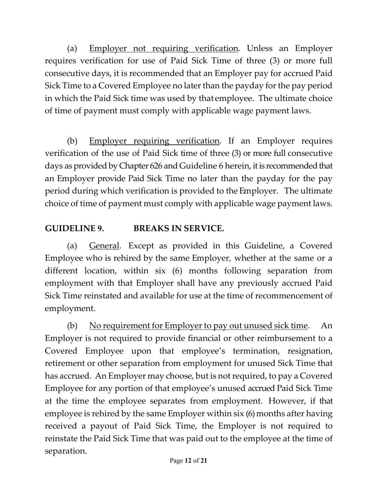(a) Employer not requiring verification. Unless an Employer requires verification for use of Paid Sick Time of three (3) or more full consecutive days, it is recommended that an Employer pay for accrued Paid Sick Time to a Covered Employee no later than the payday for the pay period in which the Paid Sick time was used by that employee. The ultimate choice of time of payment must comply with applicable wage payment laws.

(b) Employer requiring verification. If an Employer requires verification of the use of Paid Sick time of three (3) or more full consecutive days as provided by Chapter 626 and Guideline 6 herein, it is recommended that an Employer provide Paid Sick Time no later than the payday for the pay period during which verification is provided to theEmployer. The ultimate choice of time of payment must comply with applicable wage payment laws.

# **GUIDELINE 9. BREAKS IN SERVICE.**

(a) General. Except as provided in this Guideline, a Covered Employee who is rehired by the same Employer, whether at the same or a different location, within six (6) months following separation from employment with that Employer shall have any previously accrued Paid Sick Time reinstated and available for use at the time of recommencement of employment.

(b) No requirement for Employer to pay out unused sick time. An Employer is not required to provide financial or other reimbursement to a Covered Employee upon that employee's termination, resignation, retirement or other separation from employment for unused Sick Time that has accrued. An Employer may choose, but is not required, to pay a Covered Employee for any portion of that employee's unused accrued Paid Sick Time at the time the employee separates from employment. However, if that employee is rehired by the same Employer within six (6) months after having received a payout of Paid Sick Time, the Employer is not required to reinstate the Paid Sick Time that was paid out to the employee at the time of separation.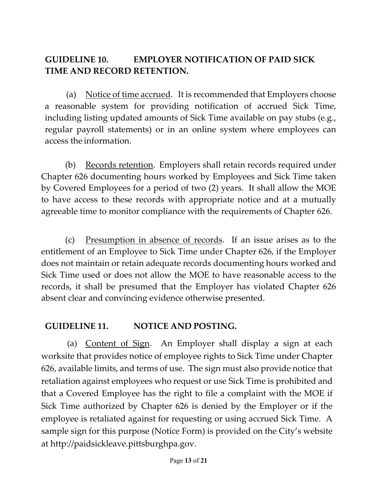# **GUIDELINE 10. EMPLOYER NOTIFICATION OF PAID SICK TIME AND RECORD RETENTION.**

(a) Notice of time accrued. It is recommended that Employers choose a reasonable system for providing notification of accrued Sick Time, including listing updated amounts of Sick Time available on pay stubs (e.g., regular payroll statements) or in an online system where employees can access the information.

(b) Records retention. Employers shall retain records required under Chapter 626 documenting hours worked by Employees and Sick Time taken by Covered Employees for a period of two (2) years. It shall allow the MOE to have access to these records with appropriate notice and at a mutually agreeable time to monitor compliance with the requirements of Chapter 626.

(c) Presumption in absence of records. If an issue arises as to the entitlement of an Employee to Sick Time under Chapter 626, if the Employer does not maintain or retain adequate records documenting hours worked and Sick Time used or does not allow the MOE to have reasonable access to the records, it shall be presumed that the Employer has violated Chapter 626 absent clear and convincing evidence otherwise presented.

### **GUIDELINE 11. NOTICE AND POSTING.**

(a) Content of Sign. An Employer shall display a sign at each worksite that provides notice of employee rights to Sick Time under Chapter 626, available limits, and terms of use. The sign must also provide notice that retaliation against employees who request or use Sick Time is prohibited and that a Covered Employee has the right to file a complaint with the MOE if Sick Time authorized by Chapter 626 is denied by the Employer or if the employee is retaliated against for requesting or using accrued Sick Time. A sample sign for this purpose (Notice Form) is provided on the City's website at http://paidsickleave.pittsburghpa.gov.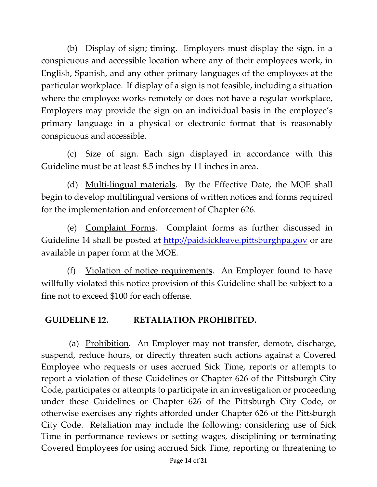(b) Display of sign; timing. Employers must display the sign, in a conspicuous and accessible location where any of their employees work, in English, Spanish, and any other primary languages of the employees at the particular workplace. If display of a sign is not feasible, including a situation where the employee works remotely or does not have a regular workplace, Employers may provide the sign on an individual basis in the employee's primary language in a physical or electronic format that is reasonably conspicuous and accessible.

(c) Size of sign. Each sign displayed in accordance with this Guideline must be at least 8.5 inches by 11 inches in area.

(d) Multi-lingual materials. By the Effective Date, the MOE shall begin to develop multilingual versions of written notices and forms required for the implementation and enforcement of Chapter 626.

(e) Complaint Forms. Complaint forms as further discussed in Guideline 14 shall be posted at [http://paidsickleave.pittsburghpa.gov](http://paidsickleave.pittsburghpa.gov/) or are available in paper form at the MOE.

(f) Violation of notice requirements. An Employer found to have willfully violated this notice provision of this Guideline shall be subject to a fine not to exceed \$100 for each offense.

### **GUIDELINE 12. RETALIATION PROHIBITED.**

(a) Prohibition. An Employer may not transfer, demote, discharge, suspend, reduce hours, or directly threaten such actions against a Covered Employee who requests or uses accrued Sick Time, reports or attempts to report a violation of these Guidelines or Chapter 626 of the Pittsburgh City Code, participates or attempts to participate in an investigation or proceeding under these Guidelines or Chapter 626 of the Pittsburgh City Code, or otherwise exercises any rights afforded under Chapter 626 of the Pittsburgh City Code. Retaliation may include the following: considering use of Sick Time in performance reviews or setting wages, disciplining or terminating Covered Employees for using accrued Sick Time, reporting or threatening to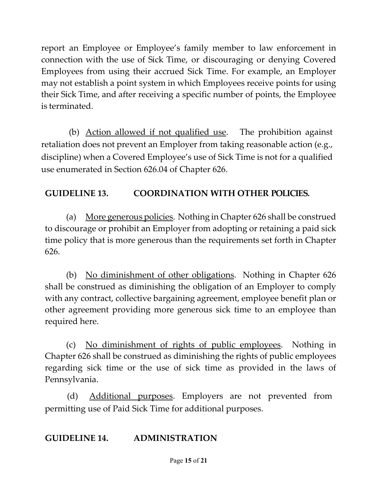report an Employee or Employee's family member to law enforcement in connection with the use of Sick Time, or discouraging or denying Covered Employees from using their accrued Sick Time. For example, an Employer may not establish a point system in which Employees receive points for using their Sick Time, and after receiving a specific number of points, the Employee is terminated.

(b) Action allowed if not qualified use. The prohibition against retaliation does not prevent an Employer from taking reasonable action (e.g., discipline) when a Covered Employee's use of Sick Time is not for a qualified use enumerated in Section 626.04 of Chapter 626.

# **GUIDELINE 13. COORDINATION WITH OTHER POLICIES.**

(a) More generous policies. Nothing in Chapter 626 shall be construed to discourage or prohibit an Employer from adopting or retaining a paid sick time policy that is more generous than the requirements set forth in Chapter 626.

(b) No diminishment of other obligations. Nothing in Chapter 626 shall be construed as diminishing the obligation of an Employer to comply with any contract, collective bargaining agreement, employee benefit plan or other agreement providing more generous sick time to an employee than required here.

(c) No diminishment of rights of public employees. Nothing in Chapter 626 shall be construed as diminishing the rights of public employees regarding sick time or the use of sick time as provided in the laws of Pennsylvania.

(d) Additional purposes. Employers are not prevented from permitting use of Paid Sick Time for additional purposes.

### **GUIDELINE 14. ADMINISTRATION**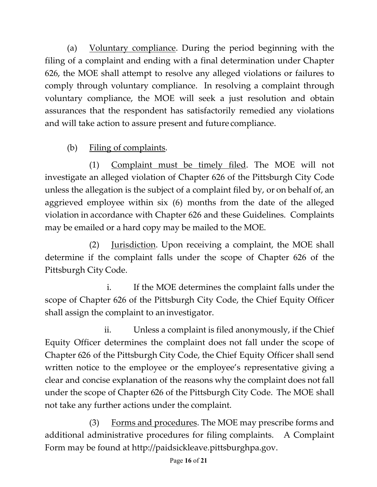(a) Voluntary compliance. During the period beginning with the filing of a complaint and ending with a final determination under Chapter 626, the MOE shall attempt to resolve any alleged violations or failures to comply through voluntary compliance. In resolving a complaint through voluntary compliance, the MOE will seek a just resolution and obtain assurances that the respondent has satisfactorily remedied any violations and will take action to assure present and future compliance.

(b) Filing of complaints.

(1) Complaint must be timely filed. The MOE will not investigate an alleged violation of Chapter 626 of the Pittsburgh City Code unless the allegation is the subject of a complaint filed by, or on behalf of, an aggrieved employee within six (6) months from the date of the alleged violation in accordance with Chapter 626 and these Guidelines. Complaints may be emailed or a hard copy may be mailed to the MOE.

(2) Jurisdiction. Upon receiving a complaint, the MOE shall determine if the complaint falls under the scope of Chapter 626 of the Pittsburgh City Code.

i. If the MOE determines the complaint falls under the scope of Chapter 626 of the Pittsburgh City Code, the Chief Equity Officer shall assign the complaint to an investigator.

ii. Unless a complaint is filed anonymously, if the Chief Equity Officer determines the complaint does not fall under the scope of Chapter 626 of the Pittsburgh City Code, the Chief Equity Officer shall send written notice to the employee or the employee's representative giving a clear and concise explanation of the reasons why the complaint does not fall under the scope of Chapter 626 of the Pittsburgh City Code. The MOE shall not take any further actions under the complaint.

(3) Forms and procedures. The MOE may prescribe forms and additional administrative procedures for filing complaints. A Complaint Form may be found at http://paidsickleave.pittsburghpa.gov.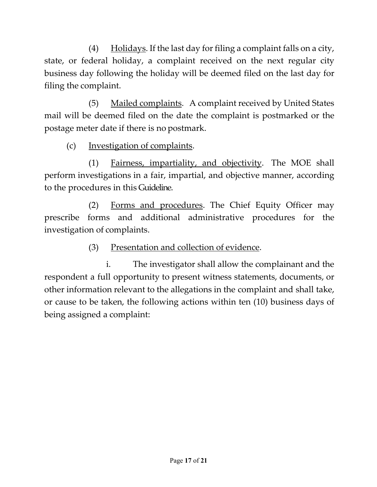(4) Holidays. If the last day for filing a complaint falls on a city, state, or federal holiday, a complaint received on the next regular city business day following the holiday will be deemed filed on the last day for filing the complaint.

(5) Mailed complaints. A complaint received by United States mail will be deemed filed on the date the complaint is postmarked or the postage meter date if there is no postmark.

(c) Investigation of complaints.

(1) Fairness, impartiality, and objectivity. The MOE shall perform investigations in a fair, impartial, and objective manner, according to the procedures in this Guideline.

(2) Forms and procedures. The Chief Equity Officer may prescribe forms and additional administrative procedures for the investigation of complaints.

(3) Presentation and collection of evidence.

i. The investigator shall allow the complainant and the respondent a full opportunity to present witness statements, documents, or other information relevant to the allegations in the complaint and shall take, or cause to be taken, the following actions within ten (10) business days of being assigned a complaint: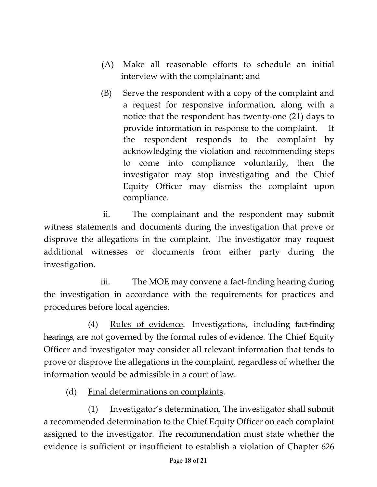- (A) Make all reasonable efforts to schedule an initial interview with the complainant; and
- (B) Serve the respondent with a copy of the complaint and a request for responsive information, along with a notice that the respondent has twenty-one (21) days to provide information in response to the complaint. If the respondent responds to the complaint by acknowledging the violation and recommending steps to come into compliance voluntarily, then the investigator may stop investigating and the Chief Equity Officer may dismiss the complaint upon compliance.

ii. The complainant and the respondent may submit witness statements and documents during the investigation that prove or disprove the allegations in the complaint. The investigator may request additional witnesses or documents from either party during the investigation.

iii. The MOE may convene a fact-finding hearing during the investigation in accordance with the requirements for practices and procedures before local agencies.

(4) Rules of evidence. Investigations, including fact-finding hearings, are not governed by the formal rules of evidence. The Chief Equity Officer and investigator may consider all relevant information that tends to prove or disprove the allegations in the complaint, regardless of whether the information would be admissible in a court of law.

(d) Final determinations on complaints.

(1) Investigator's determination. The investigator shall submit a recommended determination to the Chief Equity Officer on each complaint assigned to the investigator. The recommendation must state whether the evidence is sufficient or insufficient to establish a violation of Chapter 626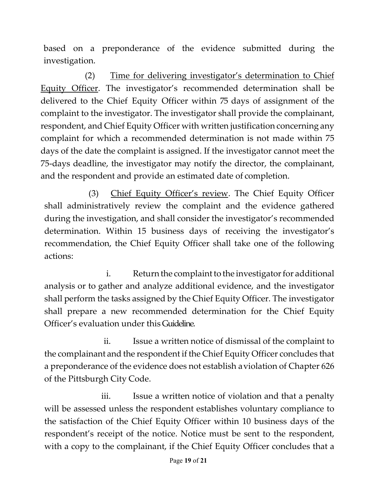based on a preponderance of the evidence submitted during the investigation.

(2) Time for delivering investigator's determination to Chief Equity Officer. The investigator's recommended determination shall be delivered to the Chief Equity Officer within 75 days of assignment of the complaint to the investigator. The investigator shall provide the complainant, respondent, and Chief Equity Officer with written justification concerning any complaint for which a recommended determination is not made within 75 days of the date the complaint is assigned. If the investigator cannot meet the 75-days deadline, the investigator may notify the director, the complainant, and the respondent and provide an estimated date of completion.

(3) Chief Equity Officer's review. The Chief Equity Officer shall administratively review the complaint and the evidence gathered during the investigation, and shall consider the investigator's recommended determination. Within 15 business days of receiving the investigator's recommendation, the Chief Equity Officer shall take one of the following actions:

i. Return the complaint to the investigator for additional analysis or to gather and analyze additional evidence, and the investigator shall perform the tasks assigned by the Chief Equity Officer. The investigator shall prepare a new recommended determination for the Chief Equity Officer's evaluation under this Guideline.

ii. Issue a written notice of dismissal of the complaint to the complainant and the respondent if the Chief Equity Officer concludes that a preponderance of the evidence does not establish aviolation of Chapter 626 of the Pittsburgh City Code.

iii. Issue a written notice of violation and that a penalty will be assessed unless the respondent establishes voluntary compliance to the satisfaction of the Chief Equity Officer within 10 business days of the respondent's receipt of the notice. Notice must be sent to the respondent, with a copy to the complainant, if the Chief Equity Officer concludes that a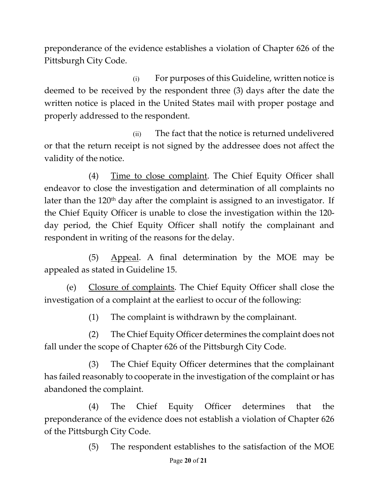preponderance of the evidence establishes a violation of Chapter 626 of the Pittsburgh City Code.

(i) For purposes of this Guideline, written notice is deemed to be received by the respondent three (3) days after the date the written notice is placed in the United States mail with proper postage and properly addressed to the respondent.

(ii) The fact that the notice is returned undelivered or that the return receipt is not signed by the addressee does not affect the validity of the notice.

(4) Time to close complaint. The Chief Equity Officer shall endeavor to close the investigation and determination of all complaints no later than the  $120<sup>th</sup>$  day after the complaint is assigned to an investigator. If the Chief Equity Officer is unable to close the investigation within the 120 day period, the Chief Equity Officer shall notify the complainant and respondent in writing of the reasons for the delay.

(5) Appeal. A final determination by the MOE may be appealed as stated in Guideline 15.

(e) Closure of complaints. The Chief Equity Officer shall close the investigation of a complaint at the earliest to occur of the following:

(1) The complaint is withdrawn by the complainant.

(2) The Chief Equity Officer determines the complaint does not fall under the scope of Chapter 626 of the Pittsburgh City Code.

(3) The Chief Equity Officer determines that the complainant has failed reasonably to cooperate in the investigation of the complaint or has abandoned the complaint.

(4) The Chief Equity Officer determines that the preponderance of the evidence does not establish a violation of Chapter 626 of the Pittsburgh City Code.

(5) The respondent establishes to the satisfaction of the MOE